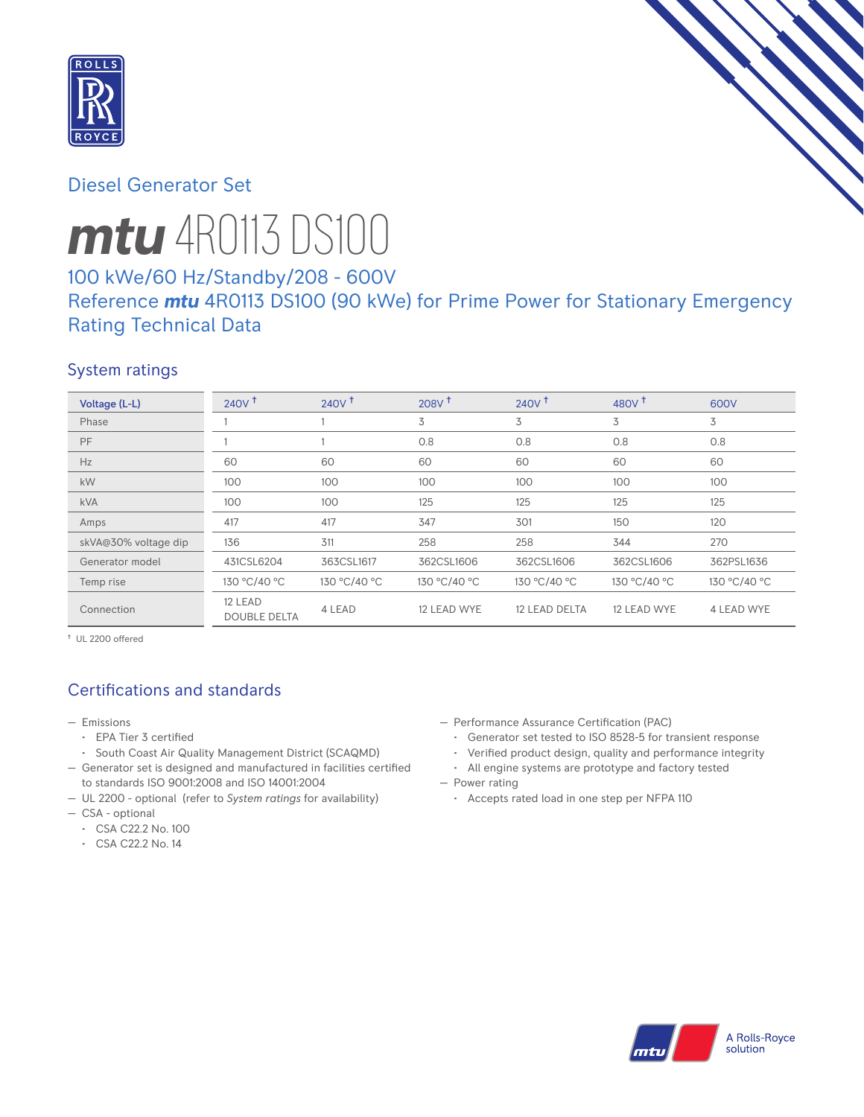

# Diesel Generator Set



# *mtu* 4R0113 DS100

# 100 kWe/60 Hz/Standby/208 - 600V

# Reference *mtu* 4R0113 DS100 (90 kWe) for Prime Power for Stationary Emergency Rating Technical Data

### System ratings

| Voltage (L-L)        | 240V <sup>†</sup>              | $240V$ <sup>+</sup> | 208V <sup>†</sup> | 240V <sup>†</sup> | 480 $V†$     | 600V              |
|----------------------|--------------------------------|---------------------|-------------------|-------------------|--------------|-------------------|
| Phase                |                                |                     | 3                 | 3                 | 3            | 3                 |
| PF                   |                                |                     | 0.8               | 0.8               | 0.8          | 0.8               |
| Hz                   | 60                             | 60                  | 60                | 60                | 60           | 60                |
| kW                   | 100                            | 100                 | 100               | 100               | 100          | 100               |
| <b>kVA</b>           | 100                            | 100                 | 125               | 125               | 125          | 125               |
| Amps                 | 417                            | 417                 | 347               | 301               | 150          | 120               |
| skVA@30% voltage dip | 136                            | 311                 | 258               | 258               | 344          | 270               |
| Generator model      | 431CSL6204                     | 363CSL1617          | 362CSL1606        | 362CSL1606        | 362CSL1606   | 362PSL1636        |
| Temp rise            | 130 °C/40 °C                   | 130 °C/40 °C        | 130 °C/40 °C      | 130 °C/40 °C      | 130 °C/40 °C | 130 °C/40 °C      |
| Connection           | 12 LEAD<br><b>DOUBLE DELTA</b> | 4 LEAD              | 12 LEAD WYE       | 12 LEAD DELTA     | 12 LEAD WYE  | <b>4 LEAD WYE</b> |

† UL 2200 offered

# Certifications and standards

- Emissions
	- EPA Tier 3 certified
	- South Coast Air Quality Management District (SCAQMD)
- Generator set is designed and manufactured in facilities certified to standards ISO 9001:2008 and ISO 14001:2004
- UL 2200 optional (refer to *System ratings* for availability)
- CSA optional
	- CSA C22.2 No. 100
	- CSA C22.2 No. 14
- Performance Assurance Certification (PAC)
	- Generator set tested to ISO 8528-5 for transient response
	- Verified product design, quality and performance integrity
- All engine systems are prototype and factory tested — Power rating
	- Accepts rated load in one step per NFPA 110

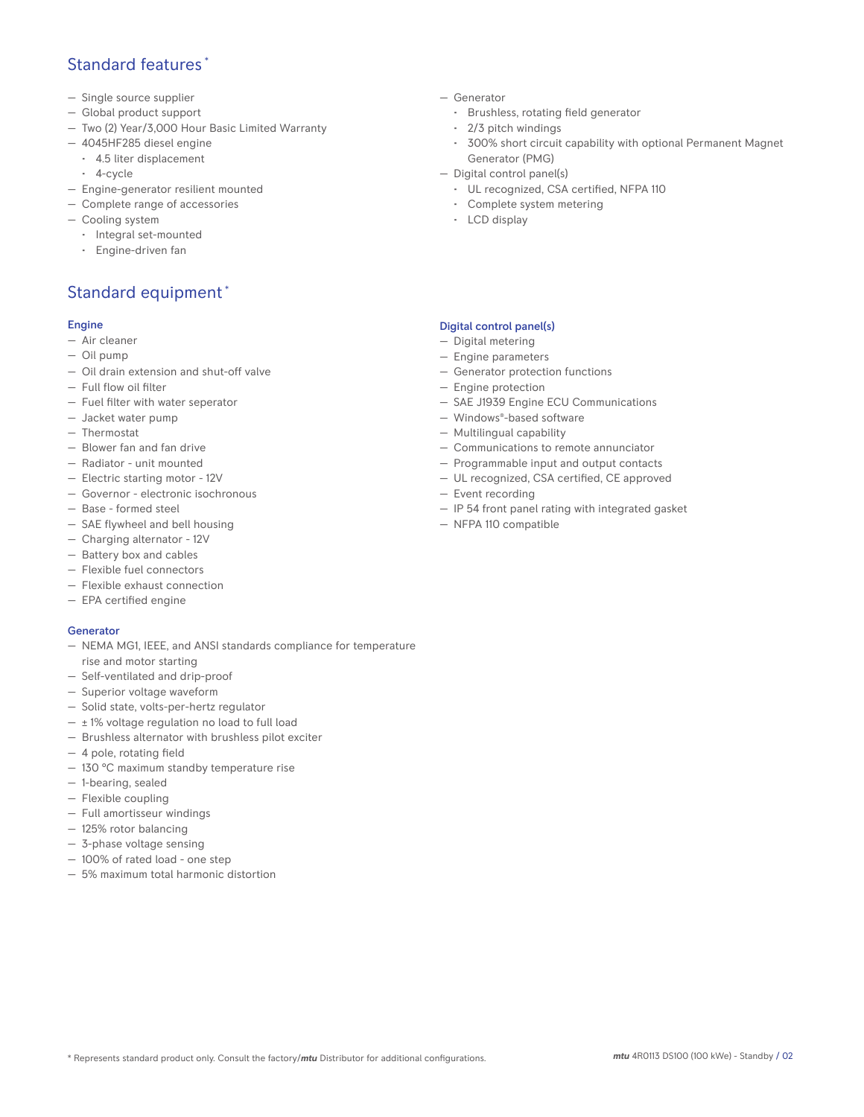### Standard features \*

- Single source supplier
- Global product support
- Two (2) Year/3,000 Hour Basic Limited Warranty
- 4045HF285 diesel engine
	- 4.5 liter displacement
	- 4-cycle
- Engine-generator resilient mounted
- Complete range of accessories
- Cooling system
	- Integral set-mounted
	- Engine-driven fan

## Standard equipment \*

#### Engine

- Air cleaner
- Oil pump
- Oil drain extension and shut-off valve
- Full flow oil filter
- Fuel filter with water seperator
- Jacket water pump
- Thermostat
- Blower fan and fan drive
- Radiator unit mounted
- Electric starting motor 12V
- Governor electronic isochronous
- Base formed steel
- SAE flywheel and bell housing
- Charging alternator 12V
- Battery box and cables
- Flexible fuel connectors
- Flexible exhaust connection
- EPA certified engine

#### Generator

- NEMA MG1, IEEE, and ANSI standards compliance for temperature rise and motor starting
- Self-ventilated and drip-proof
- Superior voltage waveform
- Solid state, volts-per-hertz regulator
- $\pm$  1% voltage regulation no load to full load
- Brushless alternator with brushless pilot exciter
- 4 pole, rotating field
- 130 °C maximum standby temperature rise
- 1-bearing, sealed
- Flexible coupling
- Full amortisseur windings
- 125% rotor balancing
- 3-phase voltage sensing
- 100% of rated load one step
- 5% maximum total harmonic distortion
- Generator
	- Brushless, rotating field generator
	- 2/3 pitch windings
	- 300% short circuit capability with optional Permanent Magnet Generator (PMG)
- Digital control panel(s)
	- UL recognized, CSA certified, NFPA 110
	- Complete system metering
	- LCD display

### Digital control panel(s)

- Digital metering
- Engine parameters
- Generator protection functions
- Engine protection
- SAE J1939 Engine ECU Communications
- Windows®-based software
- Multilingual capability
- Communications to remote annunciator
- Programmable input and output contacts
- UL recognized, CSA certified, CE approved
- Event recording
- IP 54 front panel rating with integrated gasket
- NFPA 110 compatible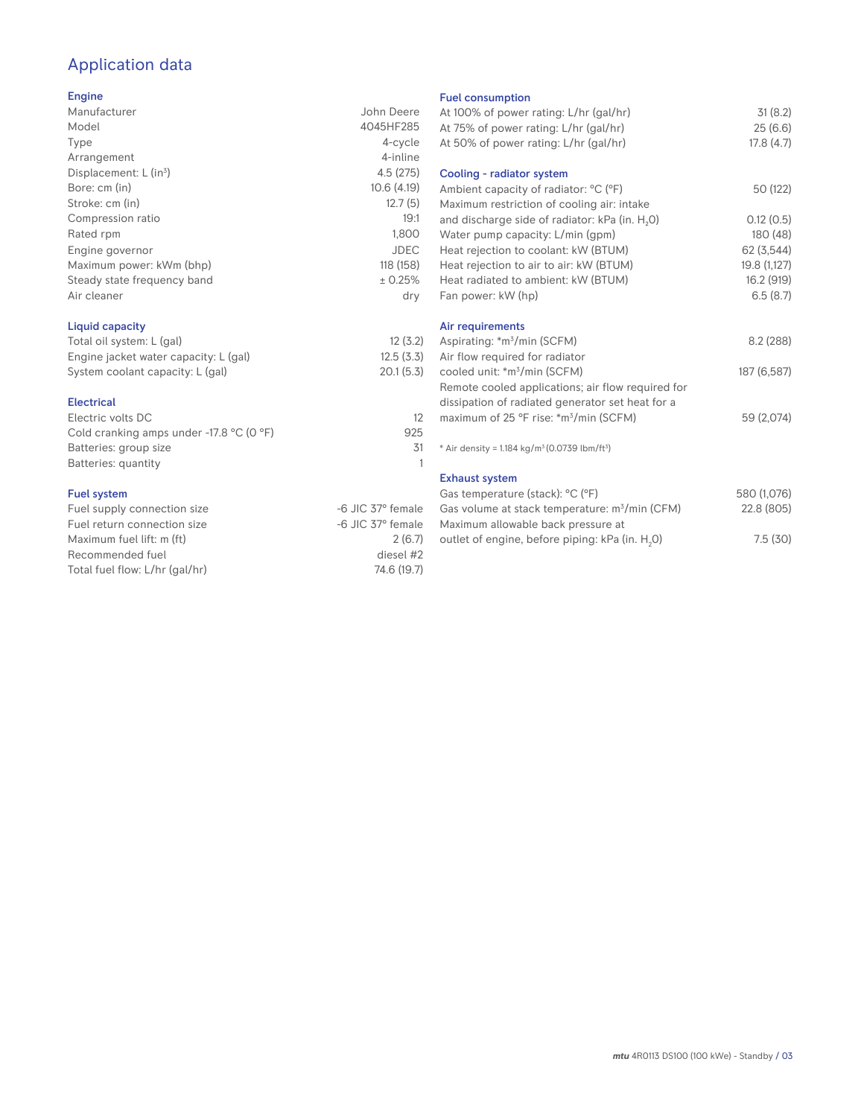# Application data

### Engine

| Manufacturer                         | John Deere  |
|--------------------------------------|-------------|
| Model                                | 4045HF285   |
| Type                                 | 4-cycle     |
| Arrangement                          | 4-inline    |
| Displacement: $L$ (in <sup>3</sup> ) | 4.5(275)    |
| Bore: cm (in)                        | 10.6(4.19)  |
| Stroke: cm (in)                      | 12.7(5)     |
| Compression ratio                    | 19:1        |
| Rated rpm                            | 1,800       |
| Engine governor                      | <b>JDEC</b> |
| Maximum power: kWm (bhp)             | 118 (158)   |
| Steady state frequency band          | ± 0.25%     |
| Air cleaner                          | dry         |
|                                      |             |

### Liquid capacity

| Total oil system: L (gal)             | 12(3.2)<br>12.5(3.3) |  |
|---------------------------------------|----------------------|--|
| Engine jacket water capacity: L (gal) |                      |  |
| System coolant capacity: L (gal)      | 20.1(5.3)            |  |

#### Electrical

| Electric volts DC                                            |     |
|--------------------------------------------------------------|-----|
| Cold cranking amps under -17.8 $^{\circ}$ C (O $^{\circ}$ F) | 925 |
| Batteries: group size                                        | .31 |
| Batteries: quantity                                          |     |
|                                                              |     |

#### Fuel system

| Fuel supply connection size    | -6 JIC 37° female |
|--------------------------------|-------------------|
| Fuel return connection size    | -6 JIC 37° female |
| Maximum fuel lift: m (ft)      | 2(6.7)            |
| Recommended fuel               | diesel #2         |
| Total fuel flow: L/hr (gal/hr) | 74.6 (19.7)       |
|                                |                   |

#### Fuel consumption

| ו טטו טטווטטווואַנוטוו<br>At 100% of power rating: L/hr (gal/hr) | 31(8.2)      |
|------------------------------------------------------------------|--------------|
| At 75% of power rating: L/hr (gal/hr)                            | 25(6.6)      |
|                                                                  |              |
| At 50% of power rating: L/hr (gal/hr)                            | 17.8(4.7)    |
| Cooling - radiator system                                        |              |
| Ambient capacity of radiator: °C (°F)                            | 50 (122)     |
| Maximum restriction of cooling air: intake                       |              |
| and discharge side of radiator: kPa (in. H <sub>2</sub> O)       | 0.12(0.5)    |
| Water pump capacity: L/min (gpm)                                 | 180 (48)     |
| Heat rejection to coolant: kW (BTUM)                             | 62 (3,544)   |
| Heat rejection to air to air: kW (BTUM)                          | 19.8 (1,127) |
| Heat radiated to ambient: kW (BTUM)                              | 16.2 (919)   |
| Fan power: kW (hp)                                               | 6.5(8.7)     |
| Air requirements                                                 |              |
| Aspirating: *m <sup>3</sup> /min (SCFM)                          | 8.2(288)     |
| Air flow required for radiator                                   |              |
| cooled unit: *m <sup>3</sup> /min (SCFM)                         | 187 (6,587)  |
| Remote cooled applications; air flow required for                |              |
| dissipation of radiated generator set heat for a                 |              |
| maximum of 25 °F rise: *m <sup>3</sup> /min (SCFM)               | 59 (2,074)   |
|                                                                  |              |
| * Air density = $1.184 \text{ kg/m}^3 (0.0739 \text{ lbm/ft}^3)$ |              |
| <b>Exhaust system</b>                                            |              |
| Gas temperature (stack): °C (°F)                                 | 580 (1,076)  |
| Gas volume at stack temperature: m <sup>3</sup> /min (CFM)       | 22.8 (805)   |
| Maximum allowable back pressure at                               |              |
| outlet of engine, before piping: kPa (in. H <sub>2</sub> 0)      | 7.5(30)      |
|                                                                  |              |